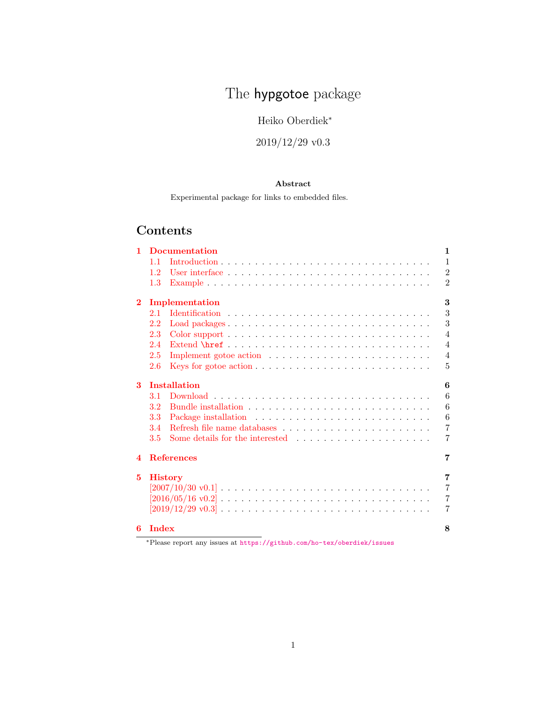# The hypgotoe package

Heiko Oberdiek<sup>∗</sup>

2019/12/29 v0.3

#### Abstract

Experimental package for links to embedded files.

# Contents

| 1.             | <b>Documentation</b><br>1 |                                                                                                          |                |  |  |  |
|----------------|---------------------------|----------------------------------------------------------------------------------------------------------|----------------|--|--|--|
|                | 1.1                       |                                                                                                          | $\mathbf{1}$   |  |  |  |
|                | 1.2                       |                                                                                                          | $\overline{2}$ |  |  |  |
|                | 1.3                       |                                                                                                          | $\overline{2}$ |  |  |  |
| $\overline{2}$ | 3<br>Implementation       |                                                                                                          |                |  |  |  |
|                | 2.1                       |                                                                                                          | 3              |  |  |  |
|                | 2.2                       | Load packages                                                                                            | 3              |  |  |  |
|                | 2.3                       |                                                                                                          | $\overline{4}$ |  |  |  |
|                | 2.4                       |                                                                                                          | $\overline{4}$ |  |  |  |
|                | 2.5                       |                                                                                                          | $\overline{4}$ |  |  |  |
|                | 2.6                       |                                                                                                          | 5              |  |  |  |
| 3              | <b>Installation</b><br>6  |                                                                                                          |                |  |  |  |
|                | 3.1                       |                                                                                                          | 6              |  |  |  |
|                | 3.2                       |                                                                                                          | 6              |  |  |  |
|                | 3.3                       |                                                                                                          | 6              |  |  |  |
|                | 3.4                       |                                                                                                          | $\overline{7}$ |  |  |  |
|                | 3.5                       |                                                                                                          | 7              |  |  |  |
| 4              |                           | <b>References</b>                                                                                        | 7              |  |  |  |
| 5              |                           | <b>History</b>                                                                                           | 7              |  |  |  |
|                |                           | $[2007/10/30 \text{ v}0.1]$                                                                              | $\overline{7}$ |  |  |  |
|                |                           | $[2016/05/16 \text{ v}0.2] \ldots \ldots \ldots \ldots \ldots \ldots \ldots \ldots \ldots \ldots \ldots$ | $\overline{7}$ |  |  |  |
|                |                           |                                                                                                          | 7              |  |  |  |
| 6              | Index                     |                                                                                                          | 8              |  |  |  |

<sup>∗</sup>Please report any issues at <https://github.com/ho-tex/oberdiek/issues>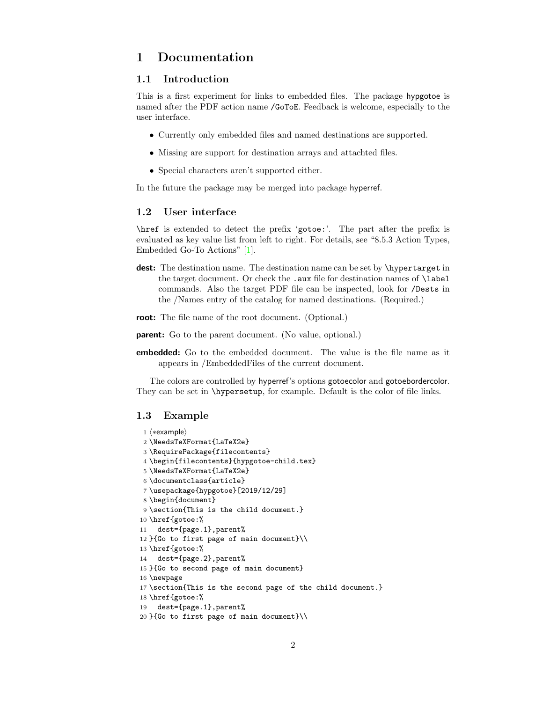### <span id="page-1-0"></span>1 Documentation

#### <span id="page-1-1"></span>1.1 Introduction

This is a first experiment for links to embedded files. The package hypgotoe is named after the PDF action name /GoToE. Feedback is welcome, especially to the user interface.

- Currently only embedded files and named destinations are supported.
- Missing are support for destination arrays and attachted files.
- Special characters aren't supported either.

In the future the package may be merged into package hyperref.

#### <span id="page-1-2"></span>1.2 User interface

\href is extended to detect the prefix 'gotoe:'. The part after the prefix is evaluated as key value list from left to right. For details, see "8.5.3 Action Types, Embedded Go-To Actions" [\[1\]](#page-6-5).

- dest: The destination name. The destination name can be set by \hypertarget in the target document. Or check the .aux file for destination names of **\label** commands. Also the target PDF file can be inspected, look for /Dests in the /Names entry of the catalog for named destinations. (Required.)
- root: The file name of the root document. (Optional.)
- parent: Go to the parent document. (No value, optional.)
- embedded: Go to the embedded document. The value is the file name as it appears in /EmbeddedFiles of the current document.

The colors are controlled by hyperref's options gotoecolor and gotoebordercolor. They can be set in \hypersetup, for example. Default is the color of file links.

#### <span id="page-1-3"></span>1.3 Example

```
1 ⟨∗example⟩
2 \NeedsTeXFormat{LaTeX2e}
3 \RequirePackage{filecontents}
4 \begin{filecontents}{hypgotoe-child.tex}
5 \NeedsTeXFormat{LaTeX2e}
6 \documentclass{article}
7 \usepackage{hypgotoe}[2019/12/29]
8 \begin{document}
9 \section{This is the child document.}
10 \href{gotoe:%
11 dest={page.1},parent%
12 }{Go to first page of main document}\\
13 \href{gotoe:%
14 dest={page.2},parent%
15 }{Go to second page of main document}
16 \newpage
17 \section{This is the second page of the child document.}
18 \href{gotoe:%
19 dest={page.1},parent%
20 }{Go to first page of main document}\\
```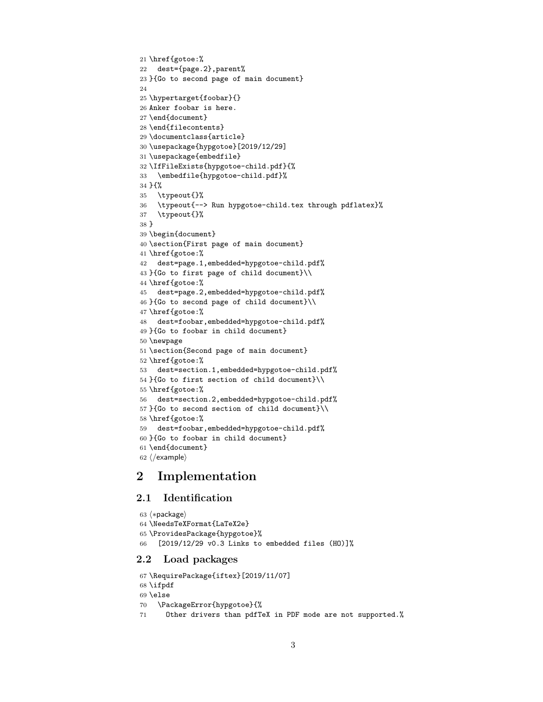```
21 \href{gotoe:%
22 dest={page.2},parent%
23 }{Go to second page of main document}
24
25 \hypertarget{foobar}{}
26 Anker foobar is here.
27 \end{document}
28 \end{filecontents}
29 \documentclass{article}
30 \usepackage{hypgotoe}[2019/12/29]
31 \usepackage{embedfile}
32 \IfFileExists{hypgotoe-child.pdf}{%
33 \embedfile{hypgotoe-child.pdf}%
34 }{%
35 \typeout{}%
36 \typeout{--> Run hypgotoe-child.tex through pdflatex}%
37 \typeout{}%
38 }
39 \begin{document}
40 \section{First page of main document}
41 \href{gotoe:%
42 dest=page.1,embedded=hypgotoe-child.pdf%
43 }{Go to first page of child document}\\
44 \href{gotoe:%
45 dest=page.2,embedded=hypgotoe-child.pdf%
46 }{Go to second page of child document}\\
47 \href{gotoe:%
48 dest=foobar,embedded=hypgotoe-child.pdf%
49 }{Go to foobar in child document}
50 \newpage
51 \section{Second page of main document}
52 \href{gotoe:%
53 dest=section.1,embedded=hypgotoe-child.pdf%
54 }{Go to first section of child document}\\
55 \href{gotoe:%
56 dest=section.2,embedded=hypgotoe-child.pdf%
57 }{Go to second section of child document}\\
58 \href{gotoe:%
59 dest=foobar,embedded=hypgotoe-child.pdf%
60 }{Go to foobar in child document}
61 \end{document}
62 ⟨/example⟩
```
# <span id="page-2-29"></span><span id="page-2-24"></span><span id="page-2-19"></span><span id="page-2-18"></span><span id="page-2-17"></span><span id="page-2-16"></span><span id="page-2-15"></span><span id="page-2-12"></span><span id="page-2-6"></span><span id="page-2-5"></span><span id="page-2-4"></span><span id="page-2-3"></span><span id="page-2-0"></span>2 Implementation

#### <span id="page-2-1"></span>2.1 Identification

```
63 ⟨∗package⟩
64 \NeedsTeXFormat{LaTeX2e}
65 \ProvidesPackage{hypgotoe}%
66 [2019/12/29 v0.3 Links to embedded files (HO)]%
```
#### <span id="page-2-2"></span>2.2 Load packages

```
67 \RequirePackage{iftex}[2019/11/07]
68 \ifpdf
69 \else
70 \PackageError{hypgotoe}{%
71 Other drivers than pdfTeX in PDF mode are not supported.%
```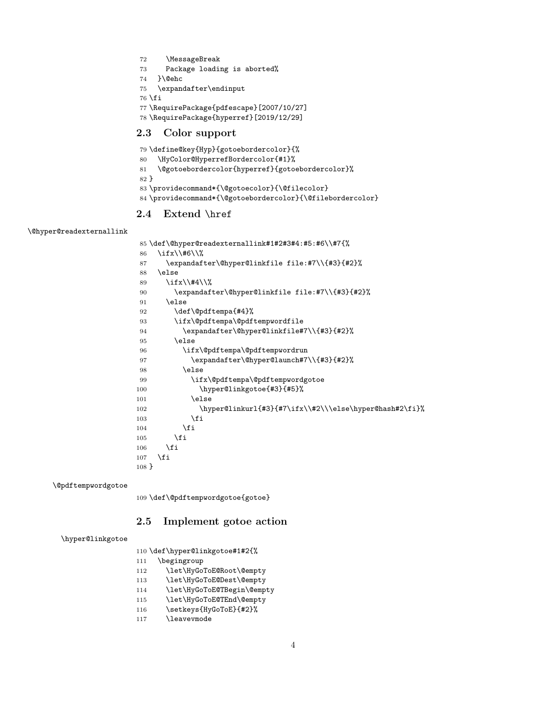```
72 \MessageBreak
73 Package loading is aborted%
74 }\@ehc
75 \expandafter\endinput
76 \fi
77 \RequirePackage{pdfescape}[2007/10/27]
78 \RequirePackage{hyperref}[2019/12/29]
```
#### <span id="page-3-33"></span><span id="page-3-32"></span><span id="page-3-0"></span>2.3 Color support

<span id="page-3-27"></span><span id="page-3-25"></span><span id="page-3-10"></span>

|        | 79 \define@key{Hyp}{gotoebordercolor}{%                    |
|--------|------------------------------------------------------------|
| 80     | \HyColor@HyperrefBordercolor{#1}%                          |
| 81     | \@gotoebordercolor{hyperref}{gotoebordercolor}%            |
| $82$ } |                                                            |
|        | 83 \providecommand*{\@gotoecolor}{\@filecolor}             |
|        | 84 \providecommand*{\@gotoebordercolor}{\@filebordercolor} |
|        |                                                            |

#### <span id="page-3-9"></span><span id="page-3-8"></span><span id="page-3-1"></span>2.4 Extend \href

<span id="page-3-15"></span>\@hyper@readexternallink

```
85 \def\@hyper@readexternallink#1#2#3#4:#5:#6\\#7{%
86 \ifx\\#6\\%
87 \expandafter\@hyper@linkfile file:#7\\{#3}{#2}%
88 \else
89 \ifx\\#4\\%
90 \expandafter\@hyper@linkfile file:#7\\{#3}{#2}%
91 \else
92 \def\@pdftempa{#4}%
93 \ifx\@pdftempa\@pdftempwordfile
94 \expandafter\@hyper@linkfile#7\\{#3}{#2}%
95 \else
96 \ifx\@pdftempa\@pdftempwordrun
97 \expandafter\@hyper@launch#7\\{#3}{#2}%
98 \else
99 \ifx\@pdftempa\@pdftempwordgotoe
100 \hyper@linkgotoe{#3}{#5}%
101 \else
102 \hyper@linkurl{#3}{#7\ifx\\#2\\\else\hyper@hash#2\fi}%
103 \qquad \qquad \text{if }104 \fi
105 \fi
106 \fi
107 \fi
108 }
```
<span id="page-3-20"></span>\@pdftempwordgotoe

<span id="page-3-28"></span><span id="page-3-24"></span><span id="page-3-19"></span>\def\@pdftempwordgotoe{gotoe}

#### <span id="page-3-2"></span>2.5 Implement gotoe action

#### <span id="page-3-29"></span>\hyper@linkgotoe

\def\hyper@linkgotoe#1#2{%

- \begingroup
- <span id="page-3-4"></span>\let\HyGoToE@Root\@empty
- <span id="page-3-5"></span>\let\HyGoToE@Dest\@empty
- <span id="page-3-6"></span>\let\HyGoToE@TBegin\@empty
- <span id="page-3-7"></span>\let\HyGoToE@TEnd\@empty
- <span id="page-3-34"></span>\setkeys{HyGoToE}{#2}%
- <span id="page-3-30"></span>\leavevmode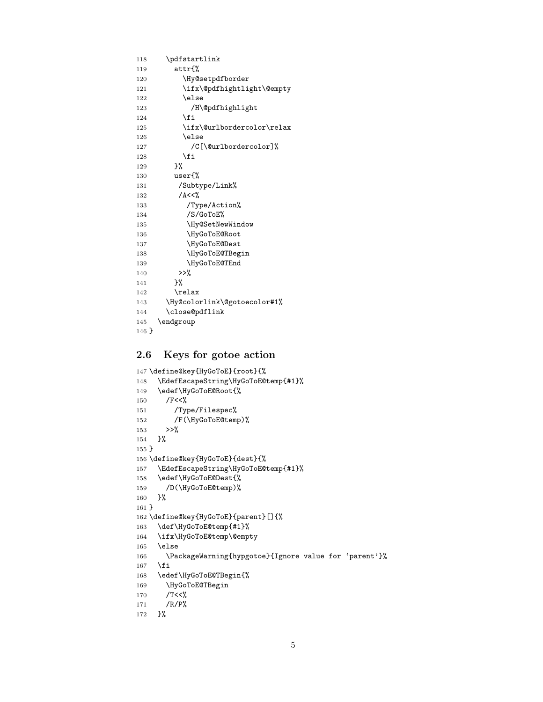```
118 \pdfstartlink
119 attr{%
120 \Hy@setpdfborder
121 \ifx\@pdfhightlight\@empty
122 \else
123 /H\@pdfhighlight
124 \fi
125 \ifx\@urlbordercolor\relax
126 \else
127 /C[\@urlbordercolor]%
128 \fi<br>129 }%
129
130 user{%
131 /Subtype/Link%
132 /A<<%
133 /Type/Action%
134 /S/GoToE%
135 \Hy@SetNewWindow
136 \HyGoToE@Root
137 \HyGoToE@Dest
138 \HyGoToE@TBegin
139 \HyGoToE@TEnd
140 >>\%141 }%
142 \relax
143 \Hy@colorlink\@gotoecolor#1%
144 \close@pdflink
145 \endgroup
146 }
```
#### <span id="page-4-25"></span><span id="page-4-19"></span><span id="page-4-17"></span><span id="page-4-15"></span><span id="page-4-13"></span><span id="page-4-7"></span><span id="page-4-3"></span><span id="page-4-0"></span>2.6 Keys for gotoe action

```
147 \define@key{HyGoToE}{root}{%
148 \EdefEscapeString\HyGoToE@temp{#1}%
149 \edef\HyGoToE@Root{%
150 / F<<%
151 /Type/Filespec%
152 /F(\HyGoToE@temp)%
153 >>\%154 }%
155 }
156 \define@key{HyGoToE}{dest}{%
157 \EdefEscapeString\HyGoToE@temp{#1}%
158 \edef\HyGoToE@Dest{%
159 /D(\HyGoToE@temp)%
160 }%
161 }
162 \define@key{HyGoToE}{parent}[]{%
163 \def\HyGoToE@temp{#1}%
164 \ifx\HyGoToE@temp\@empty
165 \else
166 \PackageWarning{hypgotoe}{Ignore value for 'parent'}%
167 \fi
168 \edef\HyGoToE@TBegin{%
169 \HyGoToE@TBegin
170 /T<\langle%
171 /R/P%
172 }%
```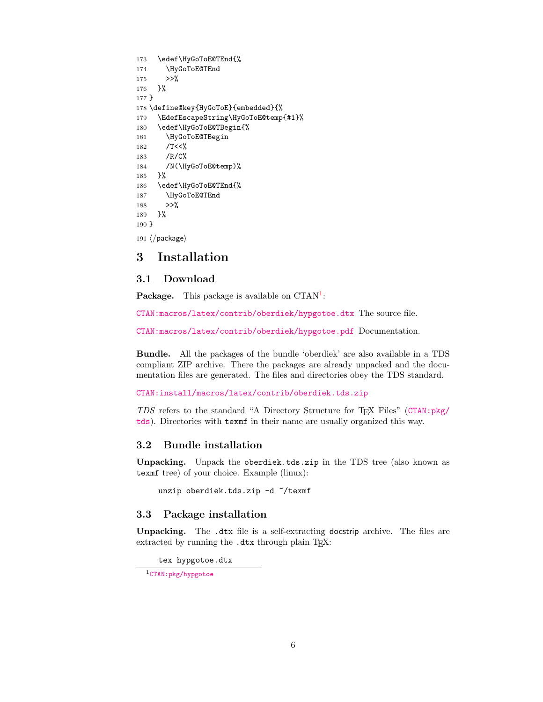```
173 \edef\HyGoToE@TEnd{%
174 \HyGoToE@TEnd
175 >>%
176 }%
177 }
178 \define@key{HyGoToE}{embedded}{%
179 \EdefEscapeString\HyGoToE@temp{#1}%
180 \edef\HyGoToE@TBegin{%
181 \HyGoToE@TBegin
182 /T<<%
183 /R/C%
184 /N(\HyGoToE@temp)%
185 }%
186 \edef\HyGoToE@TEnd{%
187 \HyGoToE@TEnd
188 >>%
189 }%
190 }
191 ⟨/package⟩
```
#### <span id="page-5-13"></span><span id="page-5-12"></span><span id="page-5-9"></span><span id="page-5-0"></span>3 Installation

#### <span id="page-5-1"></span>3.1 Download

Package. This package is available on CTAN<sup>[1](#page-5-4)</sup>:

[CTAN:macros/latex/contrib/oberdiek/hypgotoe.dtx](https://ctan.org/tex-archive/macros/latex/contrib/oberdiek/hypgotoe.dtx) The source file.

[CTAN:macros/latex/contrib/oberdiek/hypgotoe.pdf](https://ctan.org/tex-archive/macros/latex/contrib/oberdiek/hypgotoe.pdf) Documentation.

Bundle. All the packages of the bundle 'oberdiek' are also available in a TDS compliant ZIP archive. There the packages are already unpacked and the documentation files are generated. The files and directories obey the TDS standard.

[CTAN:install/macros/latex/contrib/oberdiek.tds.zip](http://mirrors.ctan.org/install/macros/latex/contrib/oberdiek.tds.zip)

TDS refers to the standard "A Directory Structure for TEX Files" ([CTAN:pkg/](http://ctan.org/pkg/tds) [tds](http://ctan.org/pkg/tds)). Directories with texmf in their name are usually organized this way.

#### <span id="page-5-2"></span>3.2 Bundle installation

Unpacking. Unpack the oberdiek.tds.zip in the TDS tree (also known as texmf tree) of your choice. Example (linux):

unzip oberdiek.tds.zip -d "/texmf

#### <span id="page-5-3"></span>3.3 Package installation

Unpacking. The .dtx file is a self-extracting docstrip archive. The files are extracted by running the  $.$ dtx through plain T<sub>EX</sub>:

tex hypgotoe.dtx

<span id="page-5-4"></span><sup>1</sup>[CTAN:pkg/hypgotoe](http://ctan.org/pkg/hypgotoe)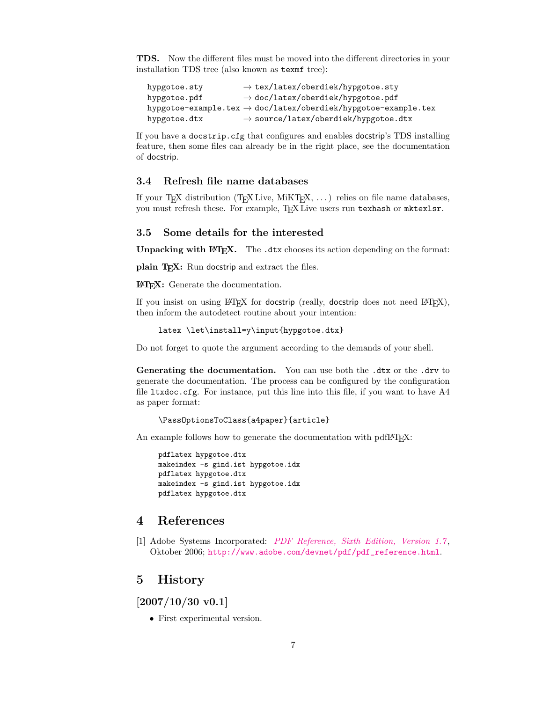TDS. Now the different files must be moved into the different directories in your installation TDS tree (also known as texmf tree):

hypgotoe.sty → tex/latex/oberdiek/hypgotoe.sty hypgotoe.pdf  $\rightarrow$  doc/latex/oberdiek/hypgotoe.pdf hypgotoe-example.tex  $\rightarrow$  doc/latex/oberdiek/hypgotoe-example.tex hypgotoe.dtx  $\rightarrow$  source/latex/oberdiek/hypgotoe.dtx

If you have a docstrip.cfg that configures and enables docstrip's TDS installing feature, then some files can already be in the right place, see the documentation of docstrip.

#### <span id="page-6-0"></span>3.4 Refresh file name databases

If your T<sub>E</sub>X distribution (T<sub>E</sub>X Live, MiKT<sub>E</sub>X,  $\ldots$ ) relies on file name databases, you must refresh these. For example, TEX Live users run texhash or mktexlsr.

#### <span id="page-6-1"></span>3.5 Some details for the interested

**Unpacking with LATEX.** The  $\cdot$  dtx chooses its action depending on the format:

plain T<sub>E</sub>X: Run docstrip and extract the files.

LATEX: Generate the documentation.

If you insist on using LAT<sub>E</sub>X for docstrip (really, docstrip does not need LAT<sub>E</sub>X), then inform the autodetect routine about your intention:

```
latex \let\install=y\input{hypgotoe.dtx}
```
Do not forget to quote the argument according to the demands of your shell.

Generating the documentation. You can use both the .dtx or the .drv to generate the documentation. The process can be configured by the configuration file ltxdoc.cfg. For instance, put this line into this file, if you want to have A4 as paper format:

\PassOptionsToClass{a4paper}{article}

An example follows how to generate the documentation with pdfL<sup>AT</sup>FX:

pdflatex hypgotoe.dtx makeindex -s gind.ist hypgotoe.idx pdflatex hypgotoe.dtx makeindex -s gind.ist hypgotoe.idx pdflatex hypgotoe.dtx

#### <span id="page-6-2"></span>4 References

<span id="page-6-5"></span>[1] Adobe Systems Incorporated: [PDF Reference, Sixth Edition, Version 1.7](http://www.adobe.com/devnet/acrobat/pdfs/pdf_reference.pdf), Oktober 2006; [http://www.adobe.com/devnet/pdf/pdf\\_reference.html](http://www.adobe.com/devnet/pdf/pdf_reference.html).

#### <span id="page-6-3"></span>5 History

<span id="page-6-4"></span>[2007/10/30 v0.1]

• First experimental version.